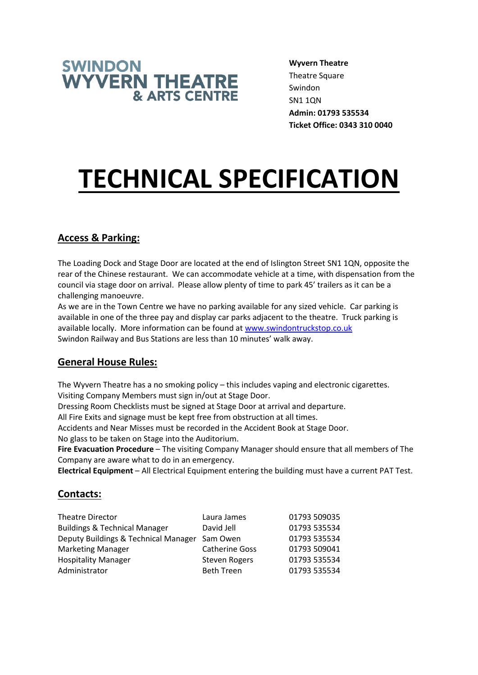

**Wyvern Theatre** Theatre Square Swindon SN1 1QN **Admin: 01793 535534 Ticket Office: 0343 310 0040**

# **TECHNICAL SPECIFICATION**

## **Access & Parking:**

The Loading Dock and Stage Door are located at the end of Islington Street SN1 1QN, opposite the rear of the Chinese restaurant. We can accommodate vehicle at a time, with dispensation from the council via stage door on arrival. Please allow plenty of time to park 45' trailers as it can be a challenging manoeuvre.

As we are in the Town Centre we have no parking available for any sized vehicle. Car parking is available in one of the three pay and display car parks adjacent to the theatre. Truck parking is available locally. More information can be found at [www.swindontruckstop.co.uk](http://www.swindontruckstop.co.uk/) Swindon Railway and Bus Stations are less than 10 minutes' walk away.

## **General House Rules:**

The Wyvern Theatre has a no smoking policy – this includes vaping and electronic cigarettes. Visiting Company Members must sign in/out at Stage Door.

Dressing Room Checklists must be signed at Stage Door at arrival and departure.

All Fire Exits and signage must be kept free from obstruction at all times.

Accidents and Near Misses must be recorded in the Accident Book at Stage Door.

No glass to be taken on Stage into the Auditorium.

**Fire Evacuation Procedure** – The visiting Company Manager should ensure that all members of The Company are aware what to do in an emergency.

**Electrical Equipment** – All Electrical Equipment entering the building must have a current PAT Test.

## **Contacts:**

| <b>Theatre Director</b>                       | Laura James           | 01793 509035 |
|-----------------------------------------------|-----------------------|--------------|
| <b>Buildings &amp; Technical Manager</b>      | David Jell            | 01793 535534 |
| Deputy Buildings & Technical Manager Sam Owen |                       | 01793 535534 |
| <b>Marketing Manager</b>                      | <b>Catherine Goss</b> | 01793 509041 |
| <b>Hospitality Manager</b>                    | <b>Steven Rogers</b>  | 01793 535534 |
| Administrator                                 | <b>Beth Treen</b>     | 01793 535534 |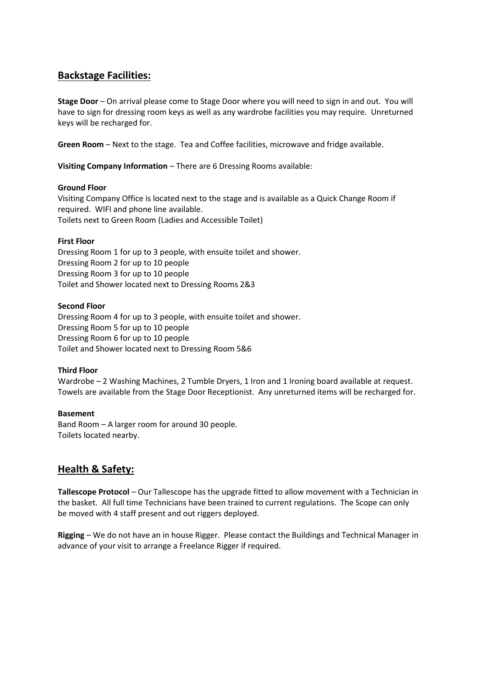## **Backstage Facilities:**

**Stage Door** – On arrival please come to Stage Door where you will need to sign in and out. You will have to sign for dressing room keys as well as any wardrobe facilities you may require. Unreturned keys will be recharged for.

**Green Room** – Next to the stage. Tea and Coffee facilities, microwave and fridge available.

**Visiting Company Information** – There are 6 Dressing Rooms available:

## **Ground Floor**

Visiting Company Office is located next to the stage and is available as a Quick Change Room if required. WIFI and phone line available. Toilets next to Green Room (Ladies and Accessible Toilet)

## **First Floor**

Dressing Room 1 for up to 3 people, with ensuite toilet and shower. Dressing Room 2 for up to 10 people Dressing Room 3 for up to 10 people Toilet and Shower located next to Dressing Rooms 2&3

## **Second Floor**

Dressing Room 4 for up to 3 people, with ensuite toilet and shower. Dressing Room 5 for up to 10 people Dressing Room 6 for up to 10 people Toilet and Shower located next to Dressing Room 5&6

### **Third Floor**

Wardrobe – 2 Washing Machines, 2 Tumble Dryers, 1 Iron and 1 Ironing board available at request. Towels are available from the Stage Door Receptionist. Any unreturned items will be recharged for.

### **Basement**

Band Room – A larger room for around 30 people. Toilets located nearby.

## **Health & Safety:**

**Tallescope Protocol** – Our Tallescope has the upgrade fitted to allow movement with a Technician in the basket. All full time Technicians have been trained to current regulations. The Scope can only be moved with 4 staff present and out riggers deployed.

**Rigging** – We do not have an in house Rigger. Please contact the Buildings and Technical Manager in advance of your visit to arrange a Freelance Rigger if required.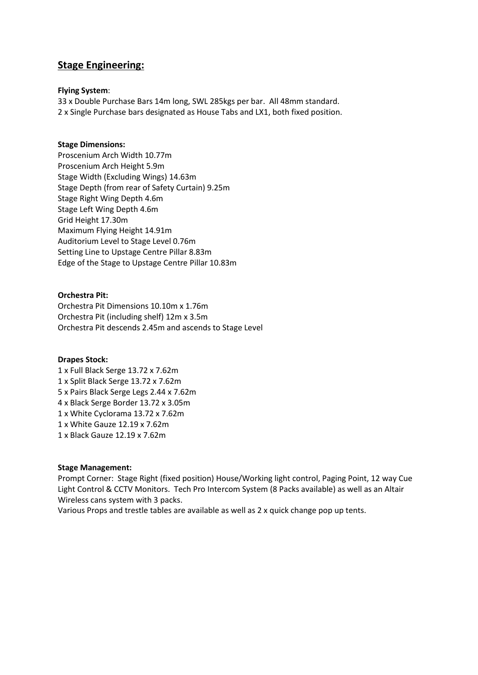## **Stage Engineering:**

#### **Flying System**:

33 x Double Purchase Bars 14m long, SWL 285kgs per bar. All 48mm standard. 2 x Single Purchase bars designated as House Tabs and LX1, both fixed position.

#### **Stage Dimensions:**

Proscenium Arch Width 10.77m Proscenium Arch Height 5.9m Stage Width (Excluding Wings) 14.63m Stage Depth (from rear of Safety Curtain) 9.25m Stage Right Wing Depth 4.6m Stage Left Wing Depth 4.6m Grid Height 17.30m Maximum Flying Height 14.91m Auditorium Level to Stage Level 0.76m Setting Line to Upstage Centre Pillar 8.83m Edge of the Stage to Upstage Centre Pillar 10.83m

#### **Orchestra Pit:**

Orchestra Pit Dimensions 10.10m x 1.76m Orchestra Pit (including shelf) 12m x 3.5m Orchestra Pit descends 2.45m and ascends to Stage Level

#### **Drapes Stock:**

1 x Full Black Serge 13.72 x 7.62m 1 x Split Black Serge 13.72 x 7.62m 5 x Pairs Black Serge Legs 2.44 x 7.62m 4 x Black Serge Border 13.72 x 3.05m 1 x White Cyclorama 13.72 x 7.62m 1 x White Gauze 12.19 x 7.62m 1 x Black Gauze 12.19 x 7.62m

#### **Stage Management:**

Prompt Corner: Stage Right (fixed position) House/Working light control, Paging Point, 12 way Cue Light Control & CCTV Monitors. Tech Pro Intercom System (8 Packs available) as well as an Altair Wireless cans system with 3 packs.

Various Props and trestle tables are available as well as 2 x quick change pop up tents.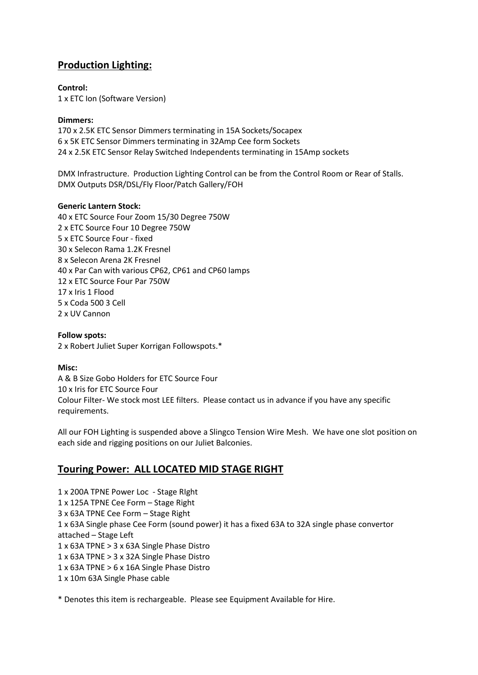## **Production Lighting:**

**Control:**

1 x ETC Ion (Software Version)

## **Dimmers:**

170 x 2.5K ETC Sensor Dimmers terminating in 15A Sockets/Socapex 6 x 5K ETC Sensor Dimmers terminating in 32Amp Cee form Sockets 24 x 2.5K ETC Sensor Relay Switched Independents terminating in 15Amp sockets

DMX Infrastructure. Production Lighting Control can be from the Control Room or Rear of Stalls. DMX Outputs DSR/DSL/Fly Floor/Patch Gallery/FOH

## **Generic Lantern Stock:**

40 x ETC Source Four Zoom 15/30 Degree 750W 2 x ETC Source Four 10 Degree 750W 5 x ETC Source Four - fixed 30 x Selecon Rama 1.2K Fresnel 8 x Selecon Arena 2K Fresnel 40 x Par Can with various CP62, CP61 and CP60 lamps 12 x ETC Source Four Par 750W 17 x Iris 1 Flood 5 x Coda 500 3 Cell 2 x UV Cannon

## **Follow spots:**

2 x Robert Juliet Super Korrigan Followspots.\*

### **Misc:**

A & B Size Gobo Holders for ETC Source Four 10 x Iris for ETC Source Four Colour Filter- We stock most LEE filters. Please contact us in advance if you have any specific requirements.

All our FOH Lighting is suspended above a Slingco Tension Wire Mesh. We have one slot position on each side and rigging positions on our Juliet Balconies.

## **Touring Power: ALL LOCATED MID STAGE RIGHT**

1 x 200A TPNE Power Loc - Stage RIght 1 x 125A TPNE Cee Form – Stage Right 3 x 63A TPNE Cee Form – Stage Right 1 x 63A Single phase Cee Form (sound power) it has a fixed 63A to 32A single phase convertor attached – Stage Left 1 x 63A TPNE > 3 x 63A Single Phase Distro 1 x 63A TPNE > 3 x 32A Single Phase Distro 1 x 63A TPNE > 6 x 16A Single Phase Distro 1 x 10m 63A Single Phase cable

\* Denotes this item is rechargeable. Please see Equipment Available for Hire.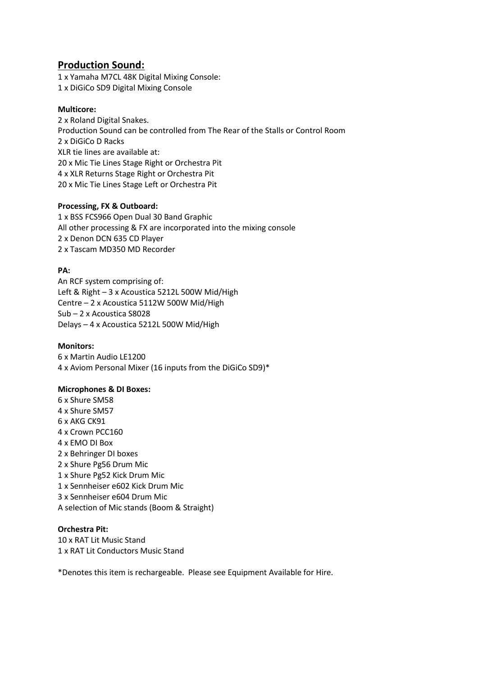## **Production Sound:**

1 x Yamaha M7CL 48K Digital Mixing Console: 1 x DiGiCo SD9 Digital Mixing Console

## **Multicore:**

2 x Roland Digital Snakes. Production Sound can be controlled from The Rear of the Stalls or Control Room 2 x DiGiCo D Racks XLR tie lines are available at: 20 x Mic Tie Lines Stage Right or Orchestra Pit 4 x XLR Returns Stage Right or Orchestra Pit 20 x Mic Tie Lines Stage Left or Orchestra Pit

## **Processing, FX & Outboard:**

1 x BSS FCS966 Open Dual 30 Band Graphic All other processing & FX are incorporated into the mixing console 2 x Denon DCN 635 CD Player 2 x Tascam MD350 MD Recorder

## **PA:**

An RCF system comprising of: Left & Right – 3 x Acoustica 5212L 500W Mid/High Centre – 2 x Acoustica 5112W 500W Mid/High Sub – 2 x Acoustica S8028 Delays – 4 x Acoustica 5212L 500W Mid/High

### **Monitors:**

6 x Martin Audio LE1200 4 x Aviom Personal Mixer (16 inputs from the DiGiCo SD9)\*

### **Microphones & DI Boxes:**

6 x Shure SM58 4 x Shure SM57 6 x AKG CK91 4 x Crown PCC160 4 x EMO DI Box 2 x Behringer DI boxes 2 x Shure Pg56 Drum Mic 1 x Shure Pg52 Kick Drum Mic 1 x Sennheiser e602 Kick Drum Mic 3 x Sennheiser e604 Drum Mic A selection of Mic stands (Boom & Straight)

### **Orchestra Pit:**

10 x RAT Lit Music Stand 1 x RAT Lit Conductors Music Stand

\*Denotes this item is rechargeable. Please see Equipment Available for Hire.